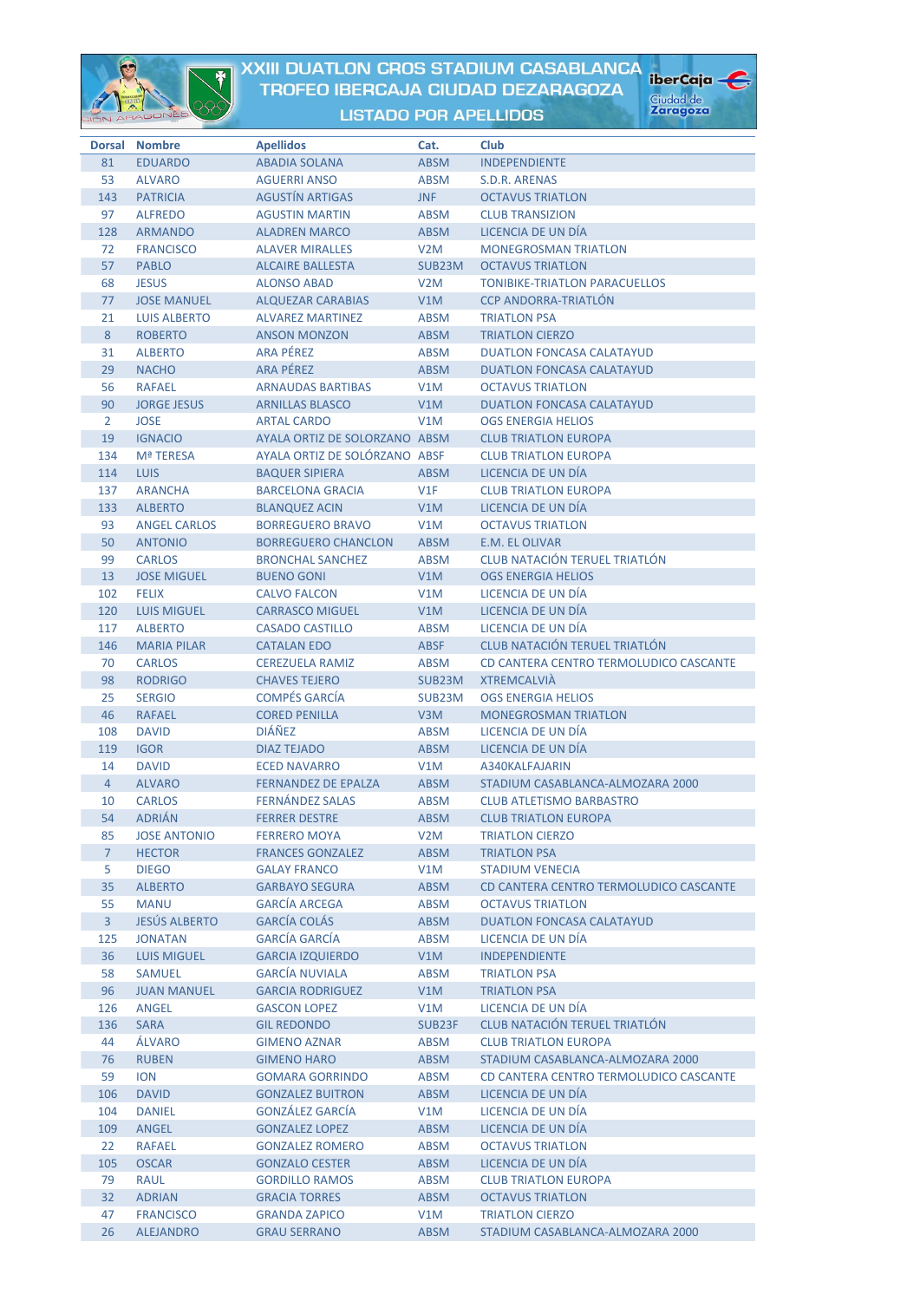

## XXIII DUATLON CROS STADIUM CASABLANCA TROFEO IBERCAJA CIUDAD DEZARAGOZA

iberCaja

Ciudad de<br>**Zaragoza** 

**LISTADO POR APELLIDOS** 

|                | Dorsal Nombre        | <b>Apellidos</b>              | Cat.             | Club                                   |
|----------------|----------------------|-------------------------------|------------------|----------------------------------------|
| 81             | <b>EDUARDO</b>       | <b>ABADIA SOLANA</b>          | <b>ABSM</b>      | <b>INDEPENDIENTE</b>                   |
| 53             | <b>ALVARO</b>        | <b>AGUERRI ANSO</b>           | <b>ABSM</b>      | S.D.R. ARENAS                          |
| 143            | <b>PATRICIA</b>      | <b>AGUSTÍN ARTIGAS</b>        | <b>JNF</b>       | <b>OCTAVUS TRIATLON</b>                |
| 97             | <b>ALFREDO</b>       | <b>AGUSTIN MARTIN</b>         | <b>ABSM</b>      | <b>CLUB TRANSIZION</b>                 |
| 128            | <b>ARMANDO</b>       | <b>ALADREN MARCO</b>          | <b>ABSM</b>      | LICENCIA DE UN DÍA                     |
| 72             | <b>FRANCISCO</b>     | <b>ALAVER MIRALLES</b>        | V2M              | <b>MONEGROSMAN TRIATLON</b>            |
| 57             | <b>PABLO</b>         | <b>ALCAIRE BALLESTA</b>       | SUB23M           | <b>OCTAVUS TRIATLON</b>                |
| 68             | <b>JESUS</b>         | <b>ALONSO ABAD</b>            | V2M              | <b>TONIBIKE-TRIATLON PARACUELLOS</b>   |
| 77             | <b>JOSE MANUEL</b>   | <b>ALQUEZAR CARABIAS</b>      | V1M              | <b>CCP ANDORRA-TRIATLÓN</b>            |
| 21             | <b>LUIS ALBERTO</b>  | <b>ALVAREZ MARTINEZ</b>       | <b>ABSM</b>      | <b>TRIATLON PSA</b>                    |
| 8              | <b>ROBERTO</b>       | <b>ANSON MONZON</b>           | <b>ABSM</b>      | <b>TRIATLON CIERZO</b>                 |
| 31             | <b>ALBERTO</b>       | ARA PÉREZ                     | <b>ABSM</b>      | <b>DUATLON FONCASA CALATAYUD</b>       |
| 29             | <b>NACHO</b>         | <b>ARA PÉREZ</b>              | <b>ABSM</b>      | <b>DUATLON FONCASA CALATAYUD</b>       |
|                | <b>RAFAEL</b>        | <b>ARNAUDAS BARTIBAS</b>      | V1M              | <b>OCTAVUS TRIATLON</b>                |
| 56             |                      |                               |                  |                                        |
| 90             | <b>JORGE JESUS</b>   | <b>ARNILLAS BLASCO</b>        | V1M              | <b>DUATLON FONCASA CALATAYUD</b>       |
| 2              | <b>JOSE</b>          | <b>ARTAL CARDO</b>            | V1M              | <b>OGS ENERGIA HELIOS</b>              |
| 19             | <b>IGNACIO</b>       | AYALA ORTIZ DE SOLORZANO ABSM |                  | <b>CLUB TRIATLON EUROPA</b>            |
| 134            | <b>Mª TERESA</b>     | AYALA ORTIZ DE SOLÓRZANO ABSF |                  | <b>CLUB TRIATLON EUROPA</b>            |
| 114            | <b>LUIS</b>          | <b>BAQUER SIPIERA</b>         | <b>ABSM</b>      | LICENCIA DE UN DÍA                     |
| 137            | <b>ARANCHA</b>       | <b>BARCELONA GRACIA</b>       | V1F              | <b>CLUB TRIATLON EUROPA</b>            |
| 133            | <b>ALBERTO</b>       | <b>BLANQUEZ ACIN</b>          | V1M              | LICENCIA DE UN DÍA                     |
| 93             | <b>ANGEL CARLOS</b>  | <b>BORREGUERO BRAVO</b>       | V1M              | <b>OCTAVUS TRIATLON</b>                |
| 50             | <b>ANTONIO</b>       | <b>BORREGUERO CHANCLON</b>    | <b>ABSM</b>      | <b>E.M. EL OLIVAR</b>                  |
| 99             | <b>CARLOS</b>        | <b>BRONCHAL SANCHEZ</b>       | <b>ABSM</b>      | <b>CLUB NATACIÓN TERUEL TRIATLÓN</b>   |
| 13             | <b>JOSE MIGUEL</b>   | <b>BUENO GONI</b>             | V1M              | <b>OGS ENERGIA HELIOS</b>              |
| 102            | <b>FELIX</b>         | <b>CALVO FALCON</b>           | V1M              | LICENCIA DE UN DÍA                     |
| 120            | <b>LUIS MIGUEL</b>   | <b>CARRASCO MIGUEL</b>        | V1M              | LICENCIA DE UN DÍA                     |
| 117            | <b>ALBERTO</b>       | <b>CASADO CASTILLO</b>        | <b>ABSM</b>      | LICENCIA DE UN DÍA                     |
| 146            | <b>MARIA PILAR</b>   | <b>CATALAN EDO</b>            | <b>ABSF</b>      | <b>CLUB NATACIÓN TERUEL TRIATLÓN</b>   |
| 70             | <b>CARLOS</b>        | <b>CEREZUELA RAMIZ</b>        | <b>ABSM</b>      | CD CANTERA CENTRO TERMOLUDICO CASCANTE |
| 98             | <b>RODRIGO</b>       | <b>CHAVES TEJERO</b>          | SUB23M           | <b>XTREMCALVIA</b>                     |
| 25             | <b>SERGIO</b>        | <b>COMPÉS GARCÍA</b>          | SUB23M           | <b>OGS ENERGIA HELIOS</b>              |
| 46             | <b>RAFAEL</b>        | <b>CORED PENILLA</b>          | V3M              | <b>MONEGROSMAN TRIATLON</b>            |
| 108            | <b>DAVID</b>         | <b>DIÁÑEZ</b>                 | <b>ABSM</b>      | LICENCIA DE UN DÍA                     |
| 119            | <b>IGOR</b>          | <b>DIAZ TEJADO</b>            | <b>ABSM</b>      | LICENCIA DE UN DÍA                     |
| 14             | <b>DAVID</b>         | <b>ECED NAVARRO</b>           | V1M              | A340KALFAJARIN                         |
| 4              | <b>ALVARO</b>        | <b>FERNANDEZ DE EPALZA</b>    | <b>ABSM</b>      | STADIUM CASABLANCA-ALMOZARA 2000       |
| 10             | <b>CARLOS</b>        | <b>FERNÁNDEZ SALAS</b>        | <b>ABSM</b>      | <b>CLUB ATLETISMO BARBASTRO</b>        |
| 54             | <b>ADRIÁN</b>        | <b>FERRER DESTRE</b>          | <b>ABSM</b>      | <b>CLUB TRIATLON EUROPA</b>            |
| 85             | <b>JOSE ANTONIO</b>  | <b>FERRERO MOYA</b>           | V <sub>2</sub> M | <b>TRIATLON CIERZO</b>                 |
| $\overline{7}$ | <b>HECTOR</b>        | <b>FRANCES GONZALEZ</b>       | <b>ABSM</b>      | <b>TRIATLON PSA</b>                    |
|                |                      |                               |                  | <b>STADIUM VENECIA</b>                 |
| 5              | <b>DIEGO</b>         | <b>GALAY FRANCO</b>           | V1M              |                                        |
| 35             | <b>ALBERTO</b>       | <b>GARBAYO SEGURA</b>         | <b>ABSM</b>      | CD CANTERA CENTRO TERMOLUDICO CASCANTE |
| 55             | <b>MANU</b>          | <b>GARCÍA ARCEGA</b>          | <b>ABSM</b>      | <b>OCTAVUS TRIATLON</b>                |
| $\overline{3}$ | <b>JESÚS ALBERTO</b> | <b>GARCÍA COLÁS</b>           | <b>ABSM</b>      | <b>DUATLON FONCASA CALATAYUD</b>       |
| 125            | <b>JONATAN</b>       | <b>GARCÍA GARCÍA</b>          | <b>ABSM</b>      | LICENCIA DE UN DÍA                     |
| 36             | <b>LUIS MIGUEL</b>   | <b>GARCIA IZQUIERDO</b>       | V1M              | <b>INDEPENDIENTE</b>                   |
| 58             | <b>SAMUEL</b>        | <b>GARCÍA NUVIALA</b>         | <b>ABSM</b>      | <b>TRIATLON PSA</b>                    |
| 96             | <b>JUAN MANUEL</b>   | <b>GARCIA RODRIGUEZ</b>       | V1M              | <b>TRIATLON PSA</b>                    |
| 126            | ANGEL                | <b>GASCON LOPEZ</b>           | V1M              | LICENCIA DE UN DÍA                     |
| 136            | <b>SARA</b>          | <b>GIL REDONDO</b>            | SUB23F           | <b>CLUB NATACIÓN TERUEL TRIATLÓN</b>   |
| 44             | <b>ALVARO</b>        | <b>GIMENO AZNAR</b>           | <b>ABSM</b>      | <b>CLUB TRIATLON EUROPA</b>            |
| 76             | <b>RUBEN</b>         | <b>GIMENO HARO</b>            | <b>ABSM</b>      | STADIUM CASABLANCA-ALMOZARA 2000       |
| 59             | <b>ION</b>           | <b>GOMARA GORRINDO</b>        | <b>ABSM</b>      | CD CANTERA CENTRO TERMOLUDICO CASCANTE |
| 106            | <b>DAVID</b>         | <b>GONZALEZ BUITRON</b>       | <b>ABSM</b>      | LICENCIA DE UN DÍA                     |
| 104            | <b>DANIEL</b>        | <b>GONZÁLEZ GARCÍA</b>        | V1M              | LICENCIA DE UN DÍA                     |
| 109            | ANGEL                | <b>GONZALEZ LOPEZ</b>         | <b>ABSM</b>      | LICENCIA DE UN DÍA                     |
| 22             | <b>RAFAEL</b>        | <b>GONZALEZ ROMERO</b>        | <b>ABSM</b>      | <b>OCTAVUS TRIATLON</b>                |
| 105            | <b>OSCAR</b>         | <b>GONZALO CESTER</b>         | <b>ABSM</b>      | LICENCIA DE UN DÍA                     |
| 79             | <b>RAUL</b>          | <b>GORDILLO RAMOS</b>         | <b>ABSM</b>      | <b>CLUB TRIATLON EUROPA</b>            |
| 32             | <b>ADRIAN</b>        | <b>GRACIA TORRES</b>          | <b>ABSM</b>      | <b>OCTAVUS TRIATLON</b>                |
| 47             | <b>FRANCISCO</b>     | <b>GRANDA ZAPICO</b>          | V1M              | <b>TRIATLON CIERZO</b>                 |
| 26             | <b>ALEIANDRO</b>     | <b>GRAIL SERRANO</b>          | <b>ARSM</b>      | STADILIM CASARI ANCA-ALMOZARA 2000     |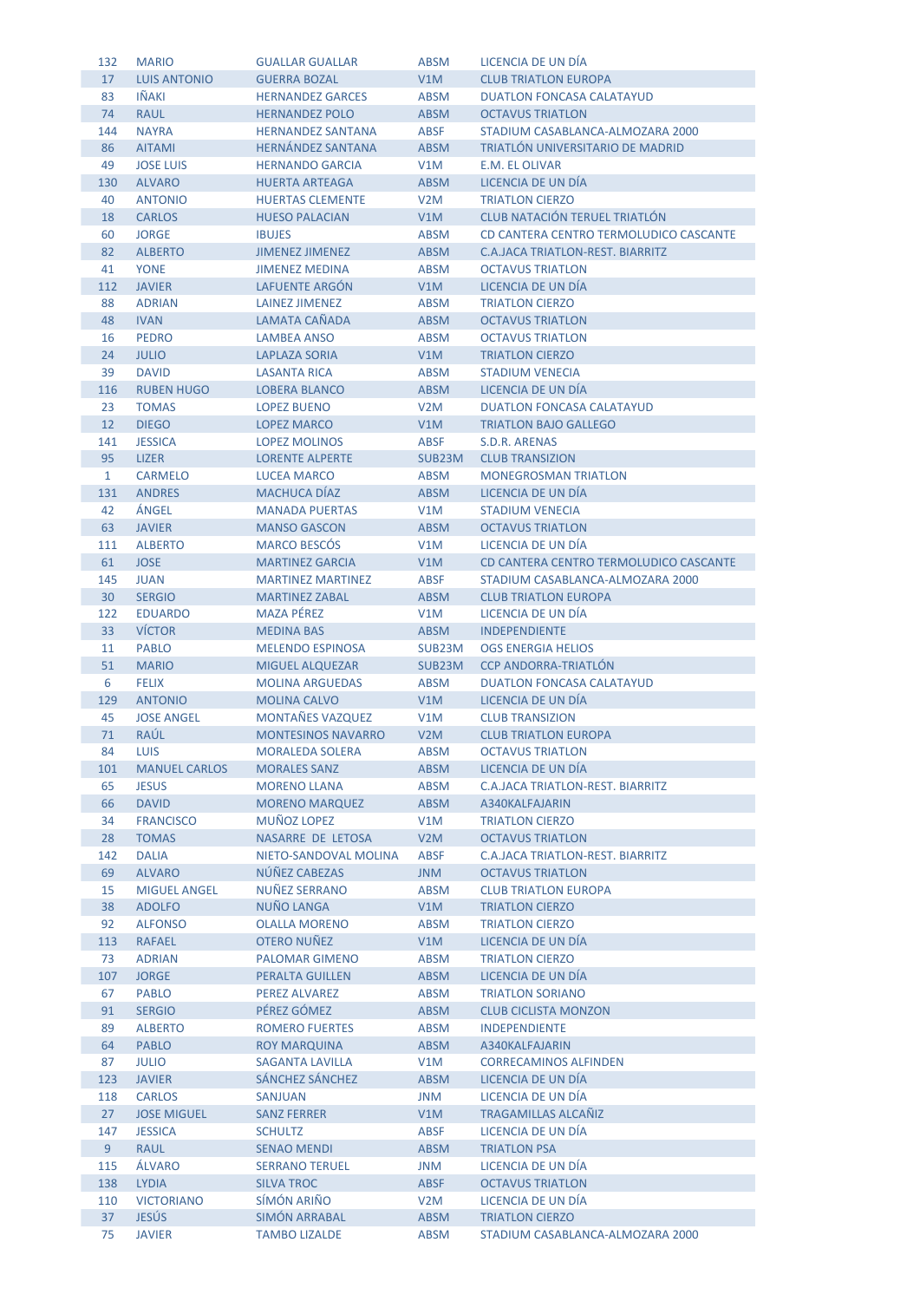| 132            | <b>MARIO</b>         | <b>GUALLAR GUALLAR</b>    | <b>ABSM</b>      | LICENCIA DE UN DÍA                      |
|----------------|----------------------|---------------------------|------------------|-----------------------------------------|
| 17             | <b>LUIS ANTONIO</b>  | <b>GUERRA BOZAL</b>       | V1M              | <b>CLUB TRIATLON EUROPA</b>             |
| 83             | <b>IÑAKI</b>         | <b>HERNANDEZ GARCES</b>   | <b>ABSM</b>      | <b>DUATLON FONCASA CALATAYUD</b>        |
| 74             | <b>RAUL</b>          | <b>HERNANDEZ POLO</b>     | <b>ABSM</b>      | <b>OCTAVUS TRIATLON</b>                 |
| 144            | <b>NAYRA</b>         | <b>HERNANDEZ SANTANA</b>  | <b>ABSF</b>      | STADIUM CASABLANCA-ALMOZARA 2000        |
| 86             | <b>AITAMI</b>        | <b>HERNÁNDEZ SANTANA</b>  | <b>ABSM</b>      | TRIATLÓN UNIVERSITARIO DE MADRID        |
| 49             | <b>JOSE LUIS</b>     | <b>HERNANDO GARCIA</b>    | V1M              | E.M. EL OLIVAR                          |
| 130            | <b>ALVARO</b>        | <b>HUERTA ARTEAGA</b>     | <b>ABSM</b>      | LICENCIA DE UN DÍA                      |
| 40             | <b>ANTONIO</b>       | <b>HUERTAS CLEMENTE</b>   | V <sub>2</sub> M | <b>TRIATLON CIERZO</b>                  |
| 18             | <b>CARLOS</b>        | <b>HUESO PALACIAN</b>     | V1M              | <b>CLUB NATACIÓN TERUEL TRIATLÓN</b>    |
| 60             | <b>JORGE</b>         | <b>IBUJES</b>             | ABSM             | CD CANTERA CENTRO TERMOLUDICO CASCANTE  |
| 82             | <b>ALBERTO</b>       | <b>JIMENEZ JIMENEZ</b>    | <b>ABSM</b>      | <b>C.A.JACA TRIATLON-REST. BIARRITZ</b> |
| 41             | <b>YONE</b>          | <b>JIMENEZ MEDINA</b>     | <b>ABSM</b>      | <b>OCTAVUS TRIATLON</b>                 |
| 112            | <b>JAVIER</b>        | LAFUENTE ARGÓN            | V1M              | LICENCIA DE UN DÍA                      |
| 88             | <b>ADRIAN</b>        | LAINEZ JIMENEZ            | <b>ABSM</b>      | <b>TRIATLON CIERZO</b>                  |
| 48             | <b>IVAN</b>          | LAMATA CAÑADA             | <b>ABSM</b>      | <b>OCTAVUS TRIATLON</b>                 |
| 16             | <b>PEDRO</b>         | <b>LAMBEA ANSO</b>        | <b>ABSM</b>      | <b>OCTAVUS TRIATLON</b>                 |
| 24             | <b>JULIO</b>         | <b>LAPLAZA SORIA</b>      | V1M              | <b>TRIATLON CIERZO</b>                  |
| 39             | <b>DAVID</b>         | <b>LASANTA RICA</b>       | <b>ABSM</b>      | <b>STADIUM VENECIA</b>                  |
| 116            | <b>RUBEN HUGO</b>    | <b>LOBERA BLANCO</b>      | <b>ABSM</b>      | LICENCIA DE UN DÍA                      |
| 23             | <b>TOMAS</b>         | <b>LOPEZ BUENO</b>        | V2M              | <b>DUATLON FONCASA CALATAYUD</b>        |
| 12             | <b>DIEGO</b>         | <b>LOPEZ MARCO</b>        | V1M              | <b>TRIATLON BAJO GALLEGO</b>            |
| 141            | <b>JESSICA</b>       | <b>LOPEZ MOLINOS</b>      | <b>ABSF</b>      | S.D.R. ARENAS                           |
| 95             | <b>LIZER</b>         | <b>LORENTE ALPERTE</b>    | SUB23M           | <b>CLUB TRANSIZION</b>                  |
|                | <b>CARMELO</b>       | <b>LUCEA MARCO</b>        | <b>ABSM</b>      | <b>MONEGROSMAN TRIATLON</b>             |
| $\mathbf{1}$   |                      | <b>MACHUCA DÍAZ</b>       |                  | LICENCIA DE UN DÍA                      |
| 131            | <b>ANDRES</b>        |                           | <b>ABSM</b>      |                                         |
| 42             | ÁNGEL                | <b>MANADA PUERTAS</b>     | V1M              | <b>STADIUM VENECIA</b>                  |
| 63             | <b>JAVIER</b>        | <b>MANSO GASCON</b>       | <b>ABSM</b>      | <b>OCTAVUS TRIATLON</b>                 |
| 111            | <b>ALBERTO</b>       | <b>MARCO BESCOS</b>       | V1M              | LICENCIA DE UN DÍA                      |
| 61             | <b>JOSE</b>          | <b>MARTINEZ GARCIA</b>    | V1M              | CD CANTERA CENTRO TERMOLUDICO CASCANTE  |
| 145            | <b>JUAN</b>          | <b>MARTINEZ MARTINEZ</b>  | <b>ABSF</b>      | STADIUM CASABLANCA-ALMOZARA 2000        |
| 30             | <b>SERGIO</b>        | <b>MARTINEZ ZABAL</b>     | <b>ABSM</b>      | <b>CLUB TRIATLON EUROPA</b>             |
| 122            | <b>EDUARDO</b>       | <b>MAZA PÉREZ</b>         | V1M              | LICENCIA DE UN DÍA                      |
| 33             | <b>VÍCTOR</b>        | <b>MEDINA BAS</b>         | <b>ABSM</b>      | <b>INDEPENDIENTE</b>                    |
| 11             | <b>PABLO</b>         | <b>MELENDO ESPINOSA</b>   | SUB23M           | <b>OGS ENERGIA HELIOS</b>               |
| 51             | <b>MARIO</b>         | <b>MIGUEL ALQUEZAR</b>    | SUB23M           | <b>CCP ANDORRA-TRIATLÓN</b>             |
| 6              | <b>FELIX</b>         | <b>MOLINA ARGUEDAS</b>    | <b>ABSM</b>      | <b>DUATLON FONCASA CALATAYUD</b>        |
| 129            | <b>ANTONIO</b>       | <b>MOLINA CALVO</b>       | V1M              | LICENCIA DE UN DÍA                      |
| 45             | <b>JOSE ANGEL</b>    | <b>MONTAÑES VAZQUEZ</b>   | V1M              | <b>CLUB TRANSIZION</b>                  |
| 71             | RAÚL                 | <b>MONTESINOS NAVARRO</b> | V <sub>2</sub> M | <b>CLUB TRIATLON EUROPA</b>             |
| 84             | <b>LUIS</b>          | <b>MORALEDA SOLERA</b>    | <b>ABSM</b>      | <b>OCTAVUS TRIATLON</b>                 |
| 101            | <b>MANUEL CARLOS</b> | <b>MORALES SANZ</b>       | <b>ABSM</b>      | LICENCIA DE UN DÍA                      |
| 65             | <b>JESUS</b>         | <b>MORENO LLANA</b>       | <b>ABSM</b>      | <b>C.A.JACA TRIATLON-REST. BIARRITZ</b> |
| 66             | <b>DAVID</b>         | <b>MORENO MARQUEZ</b>     | <b>ABSM</b>      | A340KALFAJARIN                          |
| 34             | <b>FRANCISCO</b>     | <b>MUÑOZ LOPEZ</b>        | V1M              | <b>TRIATLON CIERZO</b>                  |
| 28             | <b>TOMAS</b>         | NASARRE DE LETOSA         | V2M              | <b>OCTAVUS TRIATLON</b>                 |
| 142            | <b>DALIA</b>         | NIETO-SANDOVAL MOLINA     | ABSF             | <b>C.A.JACA TRIATLON-REST. BIARRITZ</b> |
| 69             | <b>ALVARO</b>        | NÚÑEZ CABEZAS             | <b>JNM</b>       | <b>OCTAVUS TRIATLON</b>                 |
| 15             | <b>MIGUEL ANGEL</b>  | NUÑEZ SERRANO             | <b>ABSM</b>      | <b>CLUB TRIATLON EUROPA</b>             |
| 38             | <b>ADOLFO</b>        | NUÑO LANGA                | V1M              | <b>TRIATLON CIERZO</b>                  |
| 92             | <b>ALFONSO</b>       | <b>OLALLA MORENO</b>      | <b>ABSM</b>      | <b>TRIATLON CIERZO</b>                  |
| 113            | <b>RAFAEL</b>        | OTERO NUÑEZ               | V1M              | LICENCIA DE UN DÍA                      |
| 73             | <b>ADRIAN</b>        | <b>PALOMAR GIMENO</b>     | <b>ABSM</b>      | <b>TRIATLON CIERZO</b>                  |
| 107            | <b>JORGE</b>         | PERALTA GUILLEN           | <b>ABSM</b>      | LICENCIA DE UN DÍA                      |
| 67             | <b>PABLO</b>         | <b>PEREZ ALVAREZ</b>      | <b>ABSM</b>      | <b>TRIATLON SORIANO</b>                 |
| 91             | <b>SERGIO</b>        | PÉREZ GÓMEZ               | <b>ABSM</b>      | <b>CLUB CICLISTA MONZON</b>             |
| 89             | <b>ALBERTO</b>       | <b>ROMERO FUERTES</b>     | <b>ABSM</b>      | <b>INDEPENDIENTE</b>                    |
| 64             | <b>PABLO</b>         | <b>ROY MARQUINA</b>       | <b>ABSM</b>      | A340KALFAJARIN                          |
| 87             | <b>JULIO</b>         | <b>SAGANTA LAVILLA</b>    | V1M              | <b>CORRECAMINOS ALFINDEN</b>            |
| 123            | <b>JAVIER</b>        | SÁNCHEZ SÁNCHEZ           | <b>ABSM</b>      | LICENCIA DE UN DÍA                      |
| 118            | <b>CARLOS</b>        | <b>SANJUAN</b>            | <b>JNM</b>       | LICENCIA DE UN DÍA                      |
| 27             | <b>JOSE MIGUEL</b>   | <b>SANZ FERRER</b>        | V1M              | <b>TRAGAMILLAS ALCAÑIZ</b>              |
| 147            | <b>JESSICA</b>       | <b>SCHULTZ</b>            | <b>ABSF</b>      | LICENCIA DE UN DÍA                      |
| 9 <sup>°</sup> | <b>RAUL</b>          | <b>SENAO MENDI</b>        | <b>ABSM</b>      | <b>TRIATLON PSA</b>                     |
| 115            | ÁLVARO               | <b>SERRANO TERUEL</b>     | JNM              | LICENCIA DE UN DÍA                      |
| 138            | <b>LYDIA</b>         | <b>SILVA TROC</b>         | <b>ABSF</b>      | <b>OCTAVUS TRIATLON</b>                 |
| 110            | <b>VICTORIANO</b>    | SÍMÓN ARIÑO               | V <sub>2</sub> M | LICENCIA DE UN DÍA                      |
| 37             | <b>JESÚS</b>         | SIMÓN ARRABAL             | <b>ABSM</b>      | <b>TRIATLON CIERZO</b>                  |
| 75             | <b>JAVIER</b>        | <b>TAMBO LIZALDE</b>      | <b>ABSM</b>      | STADIUM CASABLANCA-ALMOZARA 2000        |